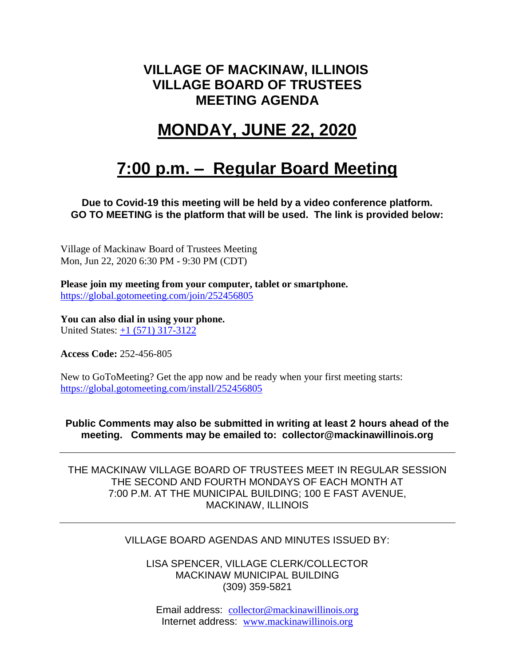### **VILLAGE OF MACKINAW, ILLINOIS VILLAGE BOARD OF TRUSTEES MEETING AGENDA**

# **MONDAY, JUNE 22, 2020**

# **7:00 p.m. – Regular Board Meeting**

**Due to Covid-19 this meeting will be held by a video conference platform. GO TO MEETING is the platform that will be used. The link is provided below:**

Village of Mackinaw Board of Trustees Meeting Mon, Jun 22, 2020 6:30 PM - 9:30 PM (CDT)

**Please join my meeting from your computer, tablet or smartphone.**  <https://global.gotomeeting.com/join/252456805>

**You can also dial in using your phone.**  United States: [+1 \(571\) 317-3122](tel:+15713173122,,252456805)

**Access Code:** 252-456-805

New to GoToMeeting? Get the app now and be ready when your first meeting starts: <https://global.gotomeeting.com/install/252456805>

**Public Comments may also be submitted in writing at least 2 hours ahead of the meeting. Comments may be emailed to: collector@mackinawillinois.org**

THE MACKINAW VILLAGE BOARD OF TRUSTEES MEET IN REGULAR SESSION THE SECOND AND FOURTH MONDAYS OF EACH MONTH AT 7:00 P.M. AT THE MUNICIPAL BUILDING; 100 E FAST AVENUE, MACKINAW, ILLINOIS

#### VILLAGE BOARD AGENDAS AND MINUTES ISSUED BY:

LISA SPENCER, VILLAGE CLERK/COLLECTOR MACKINAW MUNICIPAL BUILDING (309) 359-5821

Email address: [collector@mackinawillinois.org](mailto:collector@mackinawillinois.org) Internet address: [www.mackinawillinois.org](http://www.mackinawillinois.org/)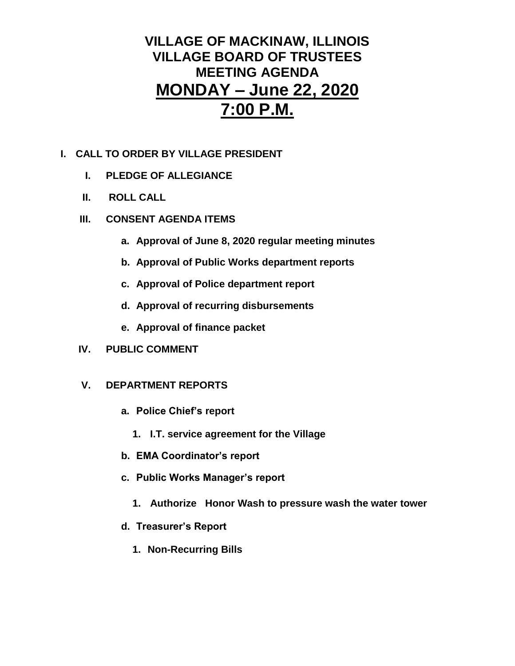### **VILLAGE OF MACKINAW, ILLINOIS VILLAGE BOARD OF TRUSTEES MEETING AGENDA MONDAY – June 22, 2020 7:00 P.M.**

#### **I. CALL TO ORDER BY VILLAGE PRESIDENT**

- **I. PLEDGE OF ALLEGIANCE**
- **II. ROLL CALL**
- **III. CONSENT AGENDA ITEMS** 
	- **a. Approval of June 8, 2020 regular meeting minutes**
	- **b. Approval of Public Works department reports**
	- **c. Approval of Police department report**
	- **d. Approval of recurring disbursements**
	- **e. Approval of finance packet**
- **IV. PUBLIC COMMENT**

#### **V. DEPARTMENT REPORTS**

- **a. Police Chief's report**
	- **1. I.T. service agreement for the Village**
- **b. EMA Coordinator's report**
- **c. Public Works Manager's report**
	- **1. Authorize Honor Wash to pressure wash the water tower**
- **d. Treasurer's Report** 
	- **1. Non-Recurring Bills**